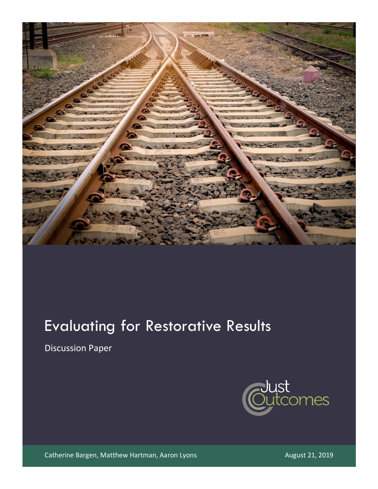

# Evaluating for Restorative Results

Discussion Paper



Catherine Bargen, Matthew Hartman, Aaron Lyons **August 21, 2019** August 21, 2019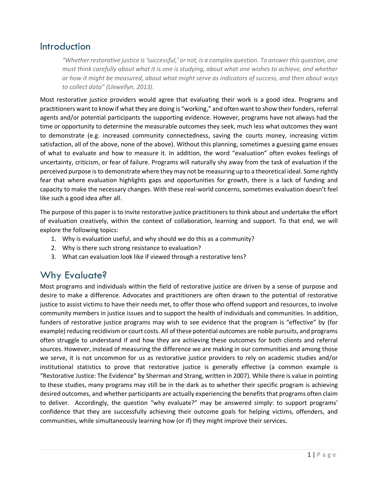### Introduction

*"Whether restorative justice is 'successful,' or not, is a complex question. To answer this question, one must think carefully about what it is one is studying, about what one wishes to achieve, and whether or how it might be measured, about what might serve as indicators of success, and then about ways to collect data" (Llewellyn, 2013).*

Most restorative justice providers would agree that evaluating their work is a good idea. Programs and practitioners want to know if what they are doing is "working," and often want to show their funders, referral agents and/or potential participants the supporting evidence. However, programs have not always had the time or opportunity to determine the measurable outcomes they seek, much less what outcomes they want to demonstrate (e.g. increased community connectedness, saving the courts money, increasing victim satisfaction, all of the above, none of the above). Without this planning, sometimes a guessing game ensues of what to evaluate and how to measure it. In addition, the word "evaluation" often evokes feelings of uncertainty, criticism, or fear of failure. Programs will naturally shy away from the task of evaluation if the perceived purpose is to demonstrate where they may not be measuring up to a theoretical ideal. Some rightly fear that where evaluation highlights gaps and opportunities for growth, there is a lack of funding and capacity to make the necessary changes. With these real-world concerns, sometimes evaluation doesn't feel like such a good idea after all.

The purpose of this paper is to invite restorative justice practitioners to think about and undertake the effort of evaluation creatively, within the context of collaboration, learning and support. To that end, we will explore the following topics:

- 1. Why is evaluation useful, and why should we do this as a community?
- 2. Why is there such strong resistance to evaluation?
- 3. What can evaluation look like if viewed through a restorative lens?

# Why Evaluate?

Most programs and individuals within the field of restorative justice are driven by a sense of purpose and desire to make a difference. Advocates and practitioners are often drawn to the potential of restorative justice to assist victims to have their needs met, to offer those who offend support and resources, to involve community members in justice issues and to support the health of individuals and communities. In addition, funders of restorative justice programs may wish to see evidence that the program is "effective" by (for example) reducing recidivism or court costs. All of these potential outcomes are noble pursuits, and programs often struggle to understand if and how they are achieving these outcomes for both clients and referral sources. However, instead of measuring the difference we are making in our communities and among those we serve, it is not uncommon for us as restorative justice providers to rely on academic studies and/or institutional statistics to prove that restorative justice is generally effective (a common example is "Restorative Justice: The Evidence" by Sherman and Strang, written in 2007). While there is value in pointing to these studies, many programs may still be in the dark as to whether their specific program is achieving desired outcomes, and whether participants are actually experiencing the benefits that programs often claim to deliver. Accordingly, the question "why evaluate?" may be answered simply: to support programs' confidence that they are successfully achieving their outcome goals for helping victims, offenders, and communities, while simultaneously learning how (or if) they might improve their services.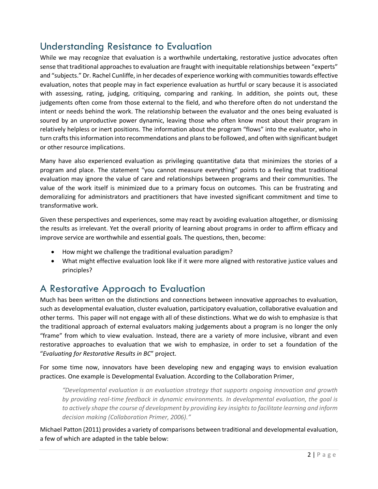# Understanding Resistance to Evaluation

While we may recognize that evaluation is a worthwhile undertaking, restorative justice advocates often sense that traditional approaches to evaluation are fraught with inequitable relationships between "experts" and "subjects." Dr. Rachel Cunliffe, in her decades of experience working with communities towards effective evaluation, notes that people may in fact experience evaluation as hurtful or scary because it is associated with assessing, rating, judging, critiquing, comparing and ranking. In addition, she points out, these judgements often come from those external to the field, and who therefore often do not understand the intent or needs behind the work. The relationship between the evaluator and the ones being evaluated is soured by an unproductive power dynamic, leaving those who often know most about their program in relatively helpless or inert positions. The information about the program "flows" into the evaluator, who in turn crafts this information into recommendations and plans to be followed, and often with significant budget or other resource implications.

Many have also experienced evaluation as privileging quantitative data that minimizes the stories of a program and place. The statement "you cannot measure everything" points to a feeling that traditional evaluation may ignore the value of care and relationships between programs and their communities. The value of the work itself is minimized due to a primary focus on outcomes. This can be frustrating and demoralizing for administrators and practitioners that have invested significant commitment and time to transformative work.

Given these perspectives and experiences, some may react by avoiding evaluation altogether, or dismissing the results as irrelevant. Yet the overall priority of learning about programs in order to affirm efficacy and improve service are worthwhile and essential goals. The questions, then, become:

- How might we challenge the traditional evaluation paradigm?
- What might effective evaluation look like if it were more aligned with restorative justice values and principles?

# A Restorative Approach to Evaluation

Much has been written on the distinctions and connections between innovative approaches to evaluation, such as developmental evaluation, cluster evaluation, participatory evaluation, collaborative evaluation and other terms. This paper will not engage with all of these distinctions. What we do wish to emphasize is that the traditional approach of external evaluators making judgements about a program is no longer the only "frame" from which to view evaluation. Instead, there are a variety of more inclusive, vibrant and even restorative approaches to evaluation that we wish to emphasize, in order to set a foundation of the "*Evaluating for Restorative Results in BC*" project.

For some time now, innovators have been developing new and engaging ways to envision evaluation practices. One example is Developmental Evaluation. According to the Collaboration Primer,

*"Developmental evaluation is an evaluation strategy that supports ongoing innovation and growth by providing real-time feedback in dynamic environments. In developmental evaluation, the goal is to actively shape the course of development by providing key insights to facilitate learning and inform decision making (Collaboration Primer, 2006)."*

Michael Patton (2011) provides a variety of comparisons between traditional and developmental evaluation, a few of which are adapted in the table below: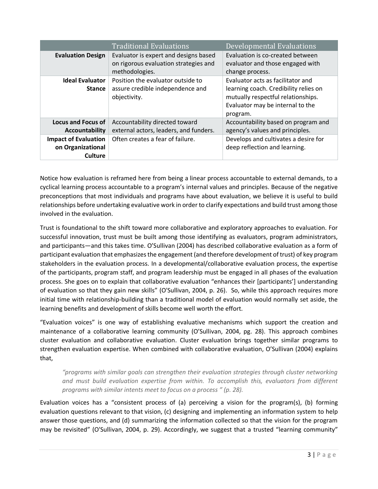|                                                             | <b>Traditional Evaluations</b>                                                                   | Developmental Evaluations                                                                                                                                        |
|-------------------------------------------------------------|--------------------------------------------------------------------------------------------------|------------------------------------------------------------------------------------------------------------------------------------------------------------------|
| <b>Evaluation Design</b>                                    | Evaluator is expert and designs based<br>on rigorous evaluation strategies and<br>methodologies. | Evaluation is co-created between<br>evaluator and those engaged with<br>change process.                                                                          |
| <b>Ideal Evaluator</b><br><b>Stance</b>                     | Position the evaluator outside to<br>assure credible independence and<br>objectivity.            | Evaluator acts as facilitator and<br>learning coach. Credibility relies on<br>mutually respectful relationships.<br>Evaluator may be internal to the<br>program. |
| <b>Locus and Focus of</b><br>Accountability                 | Accountability directed toward<br>external actors, leaders, and funders.                         | Accountability based on program and<br>agency's values and principles.                                                                                           |
| <b>Impact of Evaluation</b><br>on Organizational<br>Culture | Often creates a fear of failure.                                                                 | Develops and cultivates a desire for<br>deep reflection and learning.                                                                                            |

Notice how evaluation is reframed here from being a linear process accountable to external demands, to a cyclical learning process accountable to a program's internal values and principles. Because of the negative preconceptions that most individuals and programs have about evaluation, we believe it is useful to build relationships before undertaking evaluative work in order to clarify expectations and build trust among those involved in the evaluation.

Trust is foundational to the shift toward more collaborative and exploratory approaches to evaluation. For successful innovation, trust must be built among those identifying as evaluators, program administrators, and participants—and this takes time. O'Sullivan (2004) has described collaborative evaluation as a form of participant evaluation that emphasizes the engagement (and therefore development of trust) of key program stakeholders in the evaluation process. In a developmental/collaborative evaluation process, the expertise of the participants, program staff, and program leadership must be engaged in all phases of the evaluation process. She goes on to explain that collaborative evaluation "enhances their [participants'] understanding of evaluation so that they gain new skills" (O'Sullivan, 2004, p. 26). So, while this approach requires more initial time with relationship-building than a traditional model of evaluation would normally set aside, the learning benefits and development of skills become well worth the effort.

"Evaluation voices" is one way of establishing evaluative mechanisms which support the creation and maintenance of a collaborative learning community (O'Sullivan, 2004, pg. 28). This approach combines cluster evaluation and collaborative evaluation. Cluster evaluation brings together similar programs to strengthen evaluation expertise. When combined with collaborative evaluation, O'Sullivan (2004) explains that,

*"programs with similar goals can strengthen their evaluation strategies through cluster networking and must build evaluation expertise from within. To accomplish this, evaluators from different programs with similar intents meet to focus on a process " (p. 28).*

Evaluation voices has a "consistent process of (a) perceiving a vision for the program(s), (b) forming evaluation questions relevant to that vision, (c) designing and implementing an information system to help answer those questions, and (d) summarizing the information collected so that the vision for the program may be revisited" (O'Sullivan, 2004, p. 29). Accordingly, we suggest that a trusted "learning community"